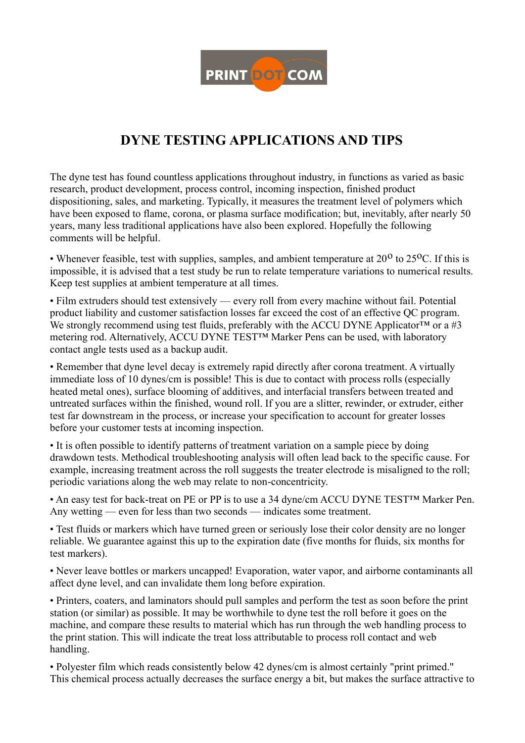

## **DYNE TESTING APPLICATIONS AND TIPS**

The dyne test has found countless applications throughout industry, in functions as varied as basic research, product development, process control, incoming inspection, finished product dispositioning, sales, and marketing. Typically, it measures the treatment level of polymers which have been exposed to flame, corona, or plasma surface modification; but, inevitably, after nearly 50 years, many less traditional applications have also been explored. Hopefully the following comments will be helpful.

• Whenever feasible, test with supplies, samples, and ambient temperature at  $20^{\circ}$  to  $25^{\circ}$ C. If this is impossible, it is advised that a test study be run to relate temperature variations to numerical results. Keep test supplies at ambient temperature at all times.

• Film extruders should test extensively — every roll from every machine without fail. Potential product liability and customer satisfaction losses far exceed the cost of an effective QC program. We strongly recommend using test fluids, preferably with the ACCU DYNE Applicator<sup>™</sup> or a #3 metering rod. Alternatively, ACCU DYNE TEST™ Marker Pens can be used, with laboratory contact angle tests used as a backup audit.

• Remember that dyne level decay is extremely rapid directly after corona treatment. A virtually immediate loss of 10 dynes/cm is possible! This is due to contact with process rolls (especially heated metal ones), surface blooming of additives, and interfacial transfers between treated and untreated surfaces within the finished, wound roll. If you are a slitter, rewinder, or extruder, either test far downstream in the process, or increase your specification to account for greater losses before your customer tests at incoming inspection.

• It is often possible to identify patterns of treatment variation on a sample piece by doing drawdown tests. Methodical troubleshooting analysis will often lead back to the specific cause. For example, increasing treatment across the roll suggests the treater electrode is misaligned to the roll; periodic variations along the web may relate to non-concentricity.

• An easy test for back-treat on PE or PP is to use a 34 dyne/cm ACCU DYNE TESTIM Marker Pen. Any wetting — even for less than two seconds — indicates some treatment.

• Test fluids or markers which have turned green or seriously lose their color density are no longer reliable. We guarantee against this up to the expiration date (five months for fluids, six months for test markers).

• Never leave bottles or markers uncapped! Evaporation, water vapor, and airborne contaminants all affect dyne level, and can invalidate them long before expiration.

• Printers, coaters, and laminators should pull samples and perform the test as soon before the print station (or similar) as possible. It may be worthwhile to dyne test the roll before it goes on the machine, and compare these results to material which has run through the web handling process to the print station. This will indicate the treat loss attributable to process roll contact and web handling.

• Polyester film which reads consistently below 42 dynes/cm is almost certainly "print primed." This chemical process actually decreases the surface energy a bit, but makes the surface attractive to